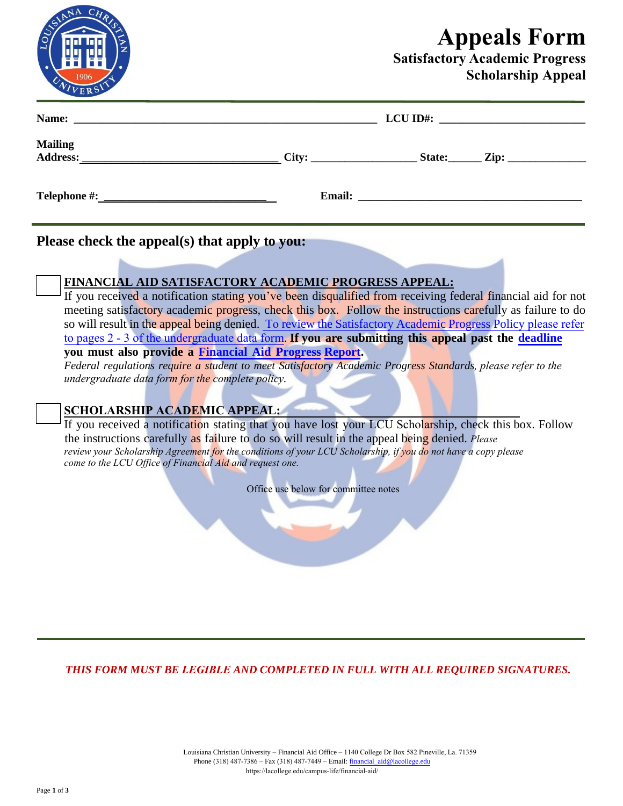## **Appeals Form**

## **Satisfactory Academic Progress Scholarship Appeal**

|                |                                                | LCU ID#: $\frac{1}{2}$ |  |
|----------------|------------------------------------------------|------------------------|--|
| <b>Mailing</b> | $City:$ $List:$ $List:$ $Zip:$ $Zip:$ $(I, I)$ |                        |  |
|                |                                                |                        |  |
|                |                                                |                        |  |

**Please check the appeal(s) that apply to you:**

## **FINANCIAL AID SATISFACTORY ACADEMIC PROGRESS APPEAL:**

If you received a notification stating you've been disqualified from receiving federal financial aid for not meeting satisfactory academic progress, check this box. Follow the instructions carefully as failure to do so will result in the appeal being denied. To [review the Satisfactory Academic Progress Policy](https://www.frc.edu/financialaid/financial-aid-policies) please refer to pages 2 - 3 of the undergraduate data form. **If you are submitting this appe[al past the](https://www.frc.edu/financialaid/files/documents/FinancialAidProgressReport.pdf) [deadline](https://www.frc.edu/financialaid/important-financial-aid-dates) you must also provide a Financial Aid Progress [Report.](https://www.frc.edu/financialaid/files/documents/FinancialAidProgressReport.pdf)**

*Federal regulations require a student to meet Satisfactory Academic Progress Standards, please refer to the undergraduate data form for the complete policy.*

## **SCHOLARSHIP ACADEMIC APPEAL:**

If you received a notification stating that you have lost your LCU Scholarship, check this box. Follow the instructions carefully as failure to do so will result in the appeal being denied. *Please review your Scholarship Agreement for the conditions of your LCU [Scholarship, if you do not have a copy](https://www.frc.edu/financialaid/financial-aid-policies) please come to the LCU Office of Financial Aid and request one.*

Office use below for committee notes

*THIS FORM MUST BE LEGIBLE AND COMPLETED IN FULL WITH ALL REQUIRED SIGNATURES.*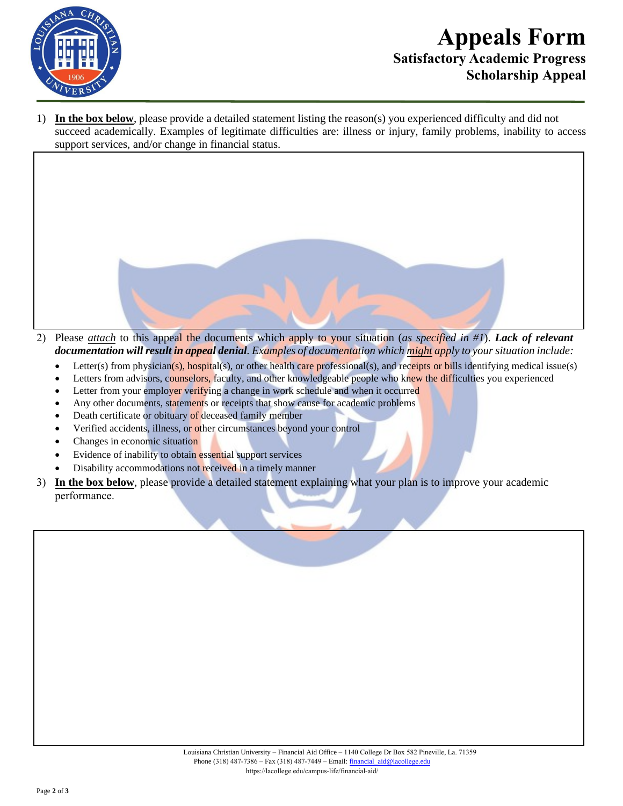

## **Appeals Form Satisfactory Academic Progress Scholarship Appeal**

1) **In the box below**, please provide a detailed statement listing the reason(s) you experienced difficulty and did not succeed academically. Examples of legitimate difficulties are: illness or injury, family problems, inability to access support services, and/or change in financial status.



- Letter(s) from physician(s), hospital(s), or other health care professional(s), and receipts or bills identifying medical issue(s)
- Letters from advisors, counselors, faculty, and other knowledgeable people who knew the difficulties you experienced
- Letter from your employer verifying a change in work schedule and when it occurred
- Any other documents, statements or receipts that show cause for academic problems
- Death certificate or obituary of deceased family member
- Verified accidents, illness, or other circumstances beyond your control
- Changes in economic situation
- Evidence of inability to obtain essential support services
- Disability accommodations not received in a timely manner
- 3) **In the box below**, please provide a detailed statement explaining what your plan is to improve your academic performance.

| Louisiana Christian University – Financial Aid Office – 1140 College Dr Box 582 Pineville, La. 71359 |  |
|------------------------------------------------------------------------------------------------------|--|
| Phone $(318)$ 487-7386 – Fax $(318)$ 487-7449 – Email: financial aid@lacollege.edu                   |  |
| https://lacollege.edu/campus-life/financial-aid/                                                     |  |